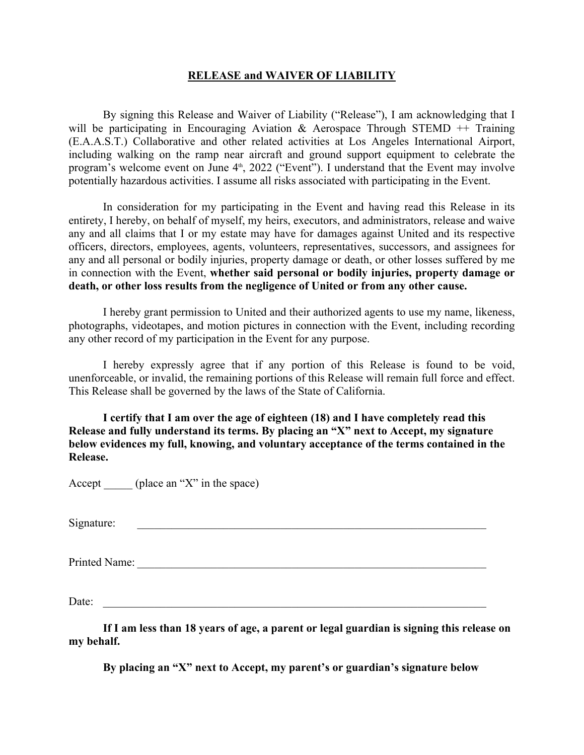## **RELEASE and WAIVER OF LIABILITY**

By signing this Release and Waiver of Liability ("Release"), I am acknowledging that I will be participating in Encouraging Aviation & Aerospace Through STEMD  $++$  Training (E.A.A.S.T.) Collaborative and other related activities at Los Angeles International Airport, including walking on the ramp near aircraft and ground support equipment to celebrate the program's welcome event on June 4<sup>th</sup>, 2022 ("Event"). I understand that the Event may involve potentially hazardous activities. I assume all risks associated with participating in the Event.

In consideration for my participating in the Event and having read this Release in its entirety, I hereby, on behalf of myself, my heirs, executors, and administrators, release and waive any and all claims that I or my estate may have for damages against United and its respective officers, directors, employees, agents, volunteers, representatives, successors, and assignees for any and all personal or bodily injuries, property damage or death, or other losses suffered by me in connection with the Event, **whether said personal or bodily injuries, property damage or death, or other loss results from the negligence of United or from any other cause.** 

I hereby grant permission to United and their authorized agents to use my name, likeness, photographs, videotapes, and motion pictures in connection with the Event, including recording any other record of my participation in the Event for any purpose.

I hereby expressly agree that if any portion of this Release is found to be void, unenforceable, or invalid, the remaining portions of this Release will remain full force and effect. This Release shall be governed by the laws of the State of California.

**I certify that I am over the age of eighteen (18) and I have completely read this Release and fully understand its terms. By placing an "X" next to Accept, my signature below evidences my full, knowing, and voluntary acceptance of the terms contained in the Release.**

Accept  $(\text{place an "X" in the space})$ 

Signature: \_\_\_\_\_\_\_\_\_\_\_\_\_\_\_\_\_\_\_\_\_\_\_\_\_\_\_\_\_\_\_\_\_\_\_\_\_\_\_\_\_\_\_\_\_\_\_\_\_\_\_\_\_\_\_\_\_\_\_\_\_

Printed Name: \_\_\_\_\_\_\_\_\_\_\_\_\_\_\_\_\_\_\_\_\_\_\_\_\_\_\_\_\_\_\_\_\_\_\_\_\_\_\_\_\_\_\_\_\_\_\_\_\_\_\_\_\_\_\_\_\_\_\_\_\_

Date:

**If I am less than 18 years of age, a parent or legal guardian is signing this release on my behalf.**

**By placing an "X" next to Accept, my parent's or guardian's signature below**